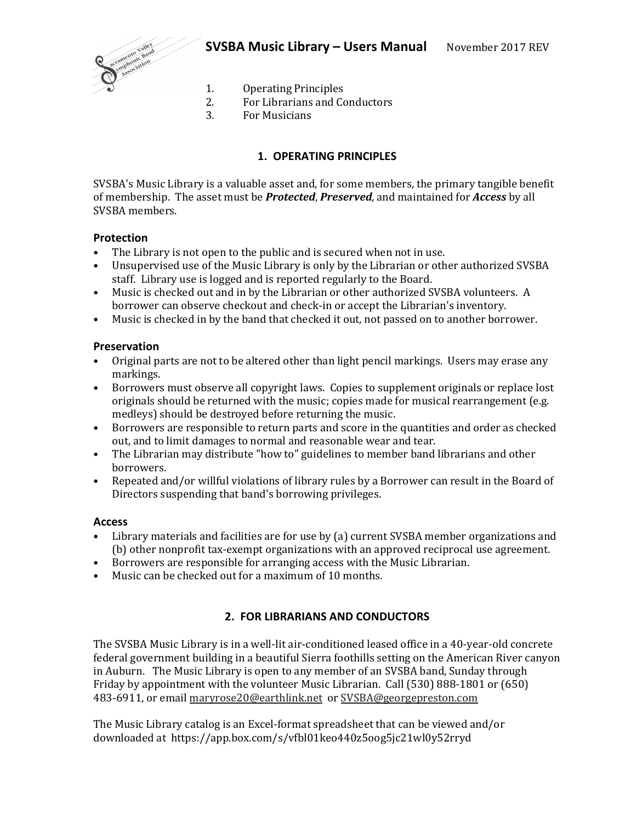

- 1. Operating Principles
- 2. For Librarians and Conductors
- 3. For Musicians

# **1. OPERATING PRINCIPLES**

SVSBA's Music Library is a valuable asset and, for some members, the primary tangible benefit of membership. The asset must be *Protected*, *Preserved*, and maintained for *Access* by all SVSBA members.

## **Protection**

- The Library is not open to the public and is secured when not in use.
- Unsupervised use of the Music Library is only by the Librarian or other authorized SVSBA staff. Library use is logged and is reported regularly to the Board.
- Music is checked out and in by the Librarian or other authorized SVSBA volunteers. A borrower can observe checkout and check-in or accept the Librarian's inventory.
- Music is checked in by the band that checked it out, not passed on to another borrower.

## **Preservation**

- Original parts are not to be altered other than light pencil markings. Users may erase any markings.
- Borrowers must observe all copyright laws. Copies to supplement originals or replace lost originals should be returned with the music; copies made for musical rearrangement (e.g. medleys) should be destroyed before returning the music.
- Borrowers are responsible to return parts and score in the quantities and order as checked out, and to limit damages to normal and reasonable wear and tear.
- The Librarian may distribute "how to" guidelines to member band librarians and other borrowers.
- Repeated and/or willful violations of library rules by a Borrower can result in the Board of Directors suspending that band's borrowing privileges.

## **Access**

- Library materials and facilities are for use by (a) current SVSBA member organizations and (b) other nonprofit tax-exempt organizations with an approved reciprocal use agreement.
- Borrowers are responsible for arranging access with the Music Librarian.
- Music can be checked out for a maximum of 10 months.

# **2. FOR LIBRARIANS AND CONDUCTORS**

The SVSBA Music Library is in a well-lit air-conditioned leased office in a 40-year-old concrete federal government building in a beautiful Sierra foothills setting on the American River canyon in Auburn. The Music Library is open to any member of an SVSBA band, Sunday through Friday by appointment with the volunteer Music Librarian. Call (530) 888-1801 or (650) 483-6911, or email maryrose20@earthlink.net or SVSBA@georgepreston.com

The Music Library catalog is an Excel-format spreadsheet that can be viewed and/or downloaded at https://app.box.com/s/vfbl01keo440z5oog5jc21wl0y52rryd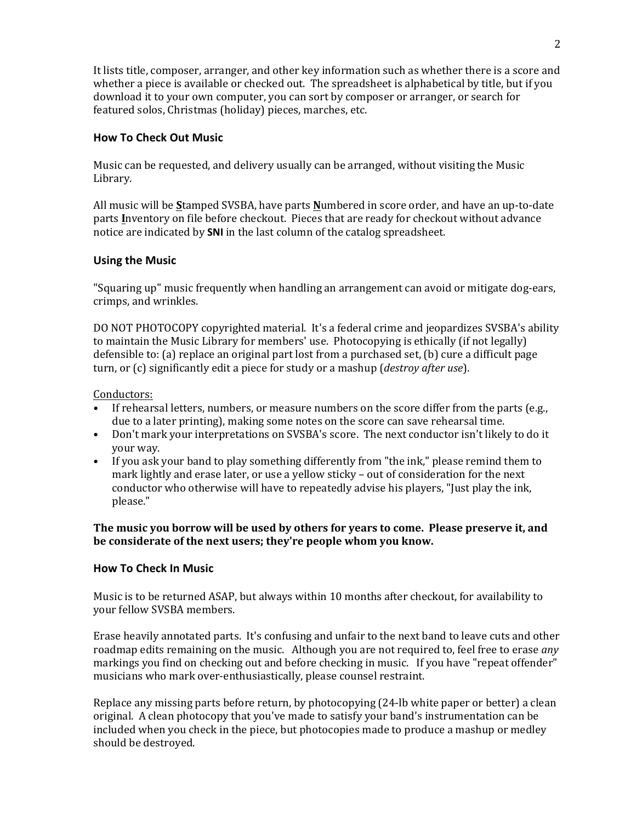It lists title, composer, arranger, and other key information such as whether there is a score and whether a piece is available or checked out. The spreadsheet is alphabetical by title, but if you download it to your own computer, you can sort by composer or arranger, or search for featured solos, Christmas (holiday) pieces, marches, etc.

# **How To Check Out Music**

Music can be requested, and delivery usually can be arranged, without visiting the Music Library.

All music will be **S**tamped SVSBA, have parts **N**umbered in score order, and have an up-to-date parts **I**nventory on file before checkout. Pieces that are ready for checkout without advance notice are indicated by **SNI** in the last column of the catalog spreadsheet.

# **Using the Music**

"Squaring up" music frequently when handling an arrangement can avoid or mitigate dog-ears, crimps, and wrinkles.

DO NOT PHOTOCOPY copyrighted material. It's a federal crime and jeopardizes SVSBA's ability to maintain the Music Library for members' use. Photocopying is ethically (if not legally) defensible to: (a) replace an original part lost from a purchased set, (b) cure a difficult page turn, or (c) significantly edit a piece for study or a mashup (*destroy after use*).

Conductors:

- If rehearsal letters, numbers, or measure numbers on the score differ from the parts (e.g., due to a later printing), making some notes on the score can save rehearsal time.
- Don't mark your interpretations on SVSBA's score. The next conductor isn't likely to do it your way.
- If you ask your band to play something differently from "the ink," please remind them to mark lightly and erase later, or use a yellow sticky – out of consideration for the next conductor who otherwise will have to repeatedly advise his players, "Just play the ink, please."

**The music you borrow will be used by others for years to come. Please preserve it, and be considerate of the next users; they're people whom you know.**

## **How To Check In Music**

Music is to be returned ASAP, but always within 10 months after checkout, for availability to your fellow SVSBA members.

Erase heavily annotated parts. It's confusing and unfair to the next band to leave cuts and other roadmap edits remaining on the music. Although you are not required to, feel free to erase *any* markings you find on checking out and before checking in music. If you have "repeat offender" musicians who mark over-enthusiastically, please counsel restraint.

Replace any missing parts before return, by photocopying (24-lb white paper or better) a clean original. A clean photocopy that you've made to satisfy your band's instrumentation can be included when you check in the piece, but photocopies made to produce a mashup or medley should be destroyed.